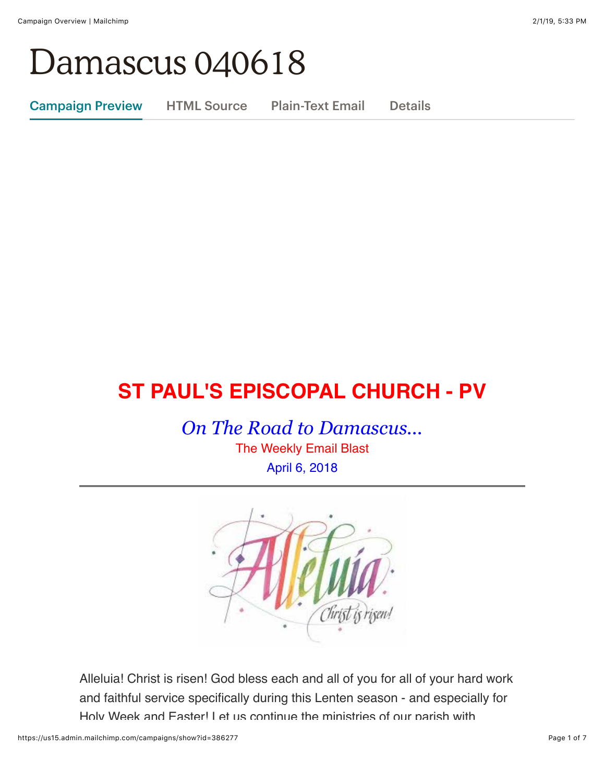# Damascus 040618

Campaign Preview HTML Source Plain-Text Email Details

## **ST PAUL'S EPISCOPAL CHURCH - PV**

*On The Road to Damascus...*

The Weekly Email Blast April 6, 2018



Alleluia! Christ is risen! God bless each and all of you for all of your hard work and faithful service specifically during this Lenten season - and especially for Holy Week and Faster! Let us continue the ministries of our parish with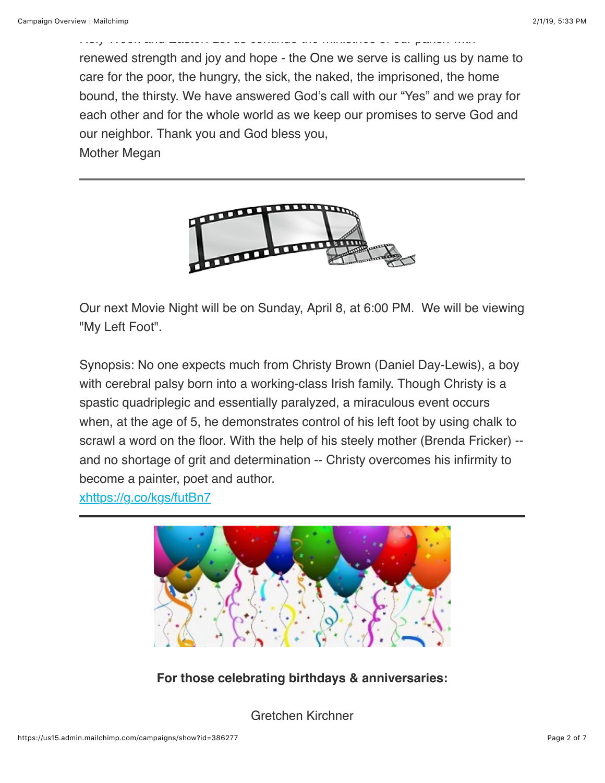renewed strength and joy and hope - the One we serve is calling us by name to care for the poor, the hungry, the sick, the naked, the imprisoned, the home bound, the thirsty. We have answered God's call with our "Yes" and we pray for each other and for the whole world as we keep our promises to serve God and our neighbor. Thank you and God bless you,

Holy Week and Easter! Let us continue the ministries of our parish with

Mother Megan



Our next Movie Night will be on Sunday, April 8, at 6:00 PM. We will be viewing "My Left Foot".

Synopsis: No one expects much from Christy Brown (Daniel Day-Lewis), a boy with cerebral palsy born into a working-class Irish family. Though Christy is a spastic quadriplegic and essentially paralyzed, a miraculous event occurs when, at the age of 5, he demonstrates control of his left foot by using chalk to scrawl a word on the floor. With the help of his steely mother (Brenda Fricker) - and no shortage of grit and determination -- Christy overcomes his infirmity to become a painter, poet and author.

[xhttps://g.co/kgs/futBn7](https://g.co/kgs/futBn7)



**For those celebrating birthdays & anniversaries:**

Gretchen Kirchner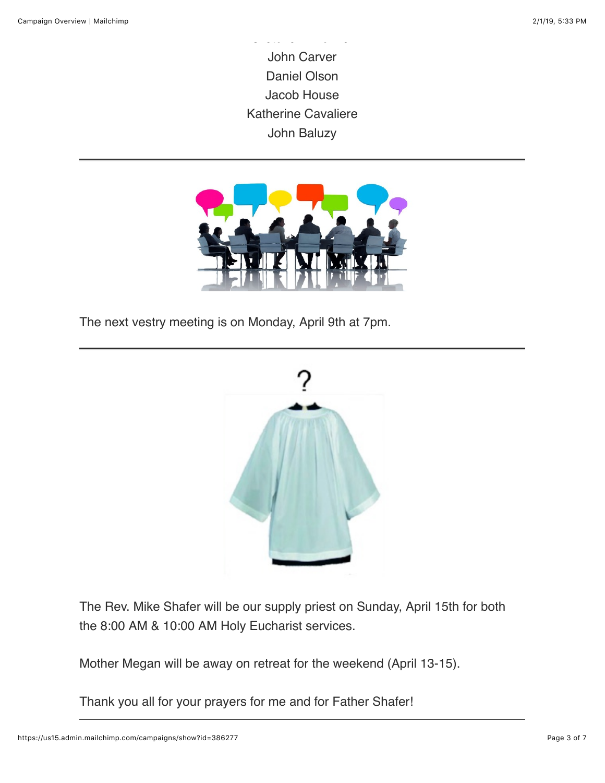John Carver Daniel Olson Jacob House Katherine Cavaliere John Baluzy

Gretchen Kirchner



The next vestry meeting is on Monday, April 9th at 7pm.



The Rev. Mike Shafer will be our supply priest on Sunday, April 15th for both the 8:00 AM & 10:00 AM Holy Eucharist services.

Mother Megan will be away on retreat for the weekend (April 13-15).

Thank you all for your prayers for me and for Father Shafer!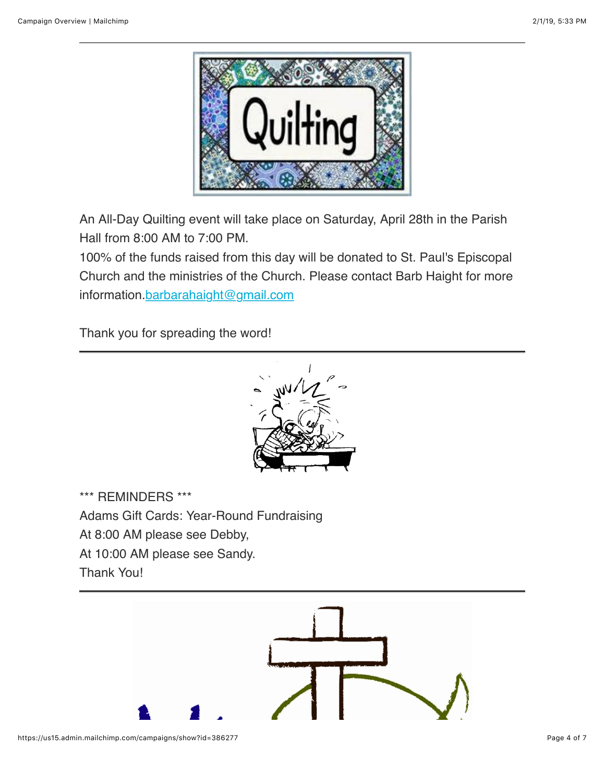

An All-Day Quilting event will take place on Saturday, April 28th in the Parish Hall from 8:00 AM to 7:00 PM.

100% of the funds raised from this day will be donated to St. Paul's Episcopal Church and the ministries of the Church. Please contact Barb Haight for more information[.barbarahaight@gmail.com](mailto:barbarahaight@gmail.com)

Thank you for spreading the word!



\*\*\* REMINDERS \*\*\* Adams Gift Cards: Year-Round Fundraising At 8:00 AM please see Debby, At 10:00 AM please see Sandy. Thank You!

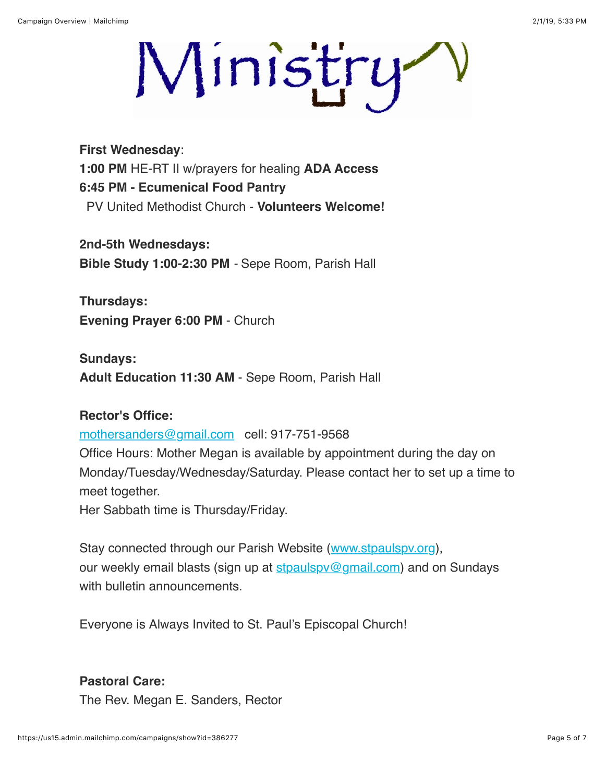Ministry

**First Wednesday**: **1:00 PM** HE-RT II w/prayers for healing **ADA Access 6:45 PM - Ecumenical Food Pantry** PV United Methodist Church - **Volunteers Welcome!**

**2nd-5th Wednesdays: Bible Study 1:00-2:30 PM** *-* Sepe Room, Parish Hall

**Thursdays: Evening Prayer 6:00 PM** - Church

**Sundays: Adult Education 11:30 AM** - Sepe Room, Parish Hall

#### **Rector's Office:**

[mothersanders@gmail.com](mailto:mothersanders@gmail.com) cell: 917-751-9568

Office Hours: Mother Megan is available by appointment during the day on Monday/Tuesday/Wednesday/Saturday. Please contact her to set up a time to meet together.

Her Sabbath time is Thursday/Friday.

Stay connected through our Parish Website ([www.stpaulspv.org\)](http://www.stpaulspv.org/), our weekly email blasts (sign up at stpaulspy@gmail.com) and on Sundays with bulletin announcements.

Everyone is Always Invited to St. Paul's Episcopal Church!

#### **Pastoral Care:**

The Rev. Megan E. Sanders, Rector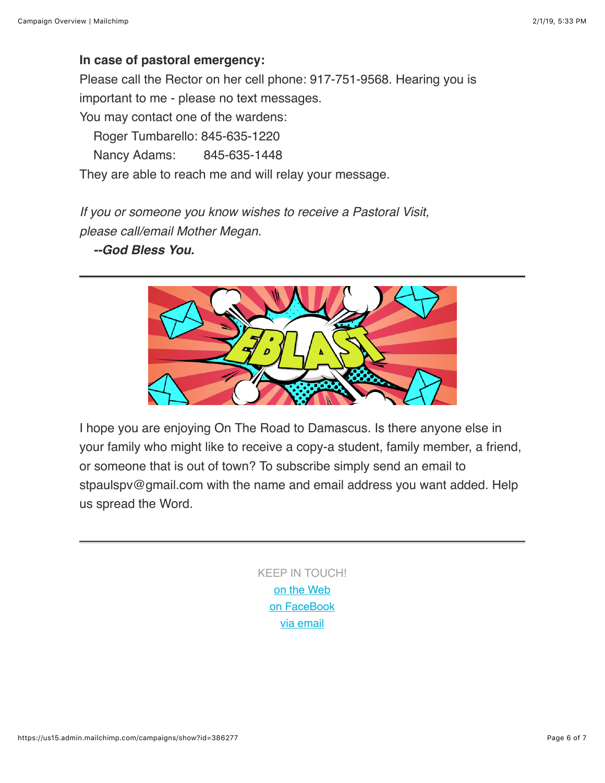### **In case of pastoral emergency:**

Please call the Rector on her cell phone: 917-751-9568. Hearing you is important to me - please no text messages. You may contact one of the wardens: Roger Tumbarello: 845-635-1220

Nancy Adams: 845-635-1448

They are able to reach me and will relay your message.

*If you or someone you know wishes to receive a Pastoral Visit, please call/email Mother Megan.*

#### *--God Bless You.*



I hope you are enjoying On The Road to Damascus. Is there anyone else in your family who might like to receive a copy-a student, family member, a friend, or someone that is out of town? To subscribe simply send an email to stpaulspv@gmail.com with the name and email address you want added. Help us spread the Word.

> KEEP IN TOUCH! [o](http://stpaulspv.org/)[n the Web](http://www.stpaulspv.org/) [on FaceBook](https://www.facebook.com/stpaulspleasantvalley/) [via email](mailto:stpaulspv@gmail)